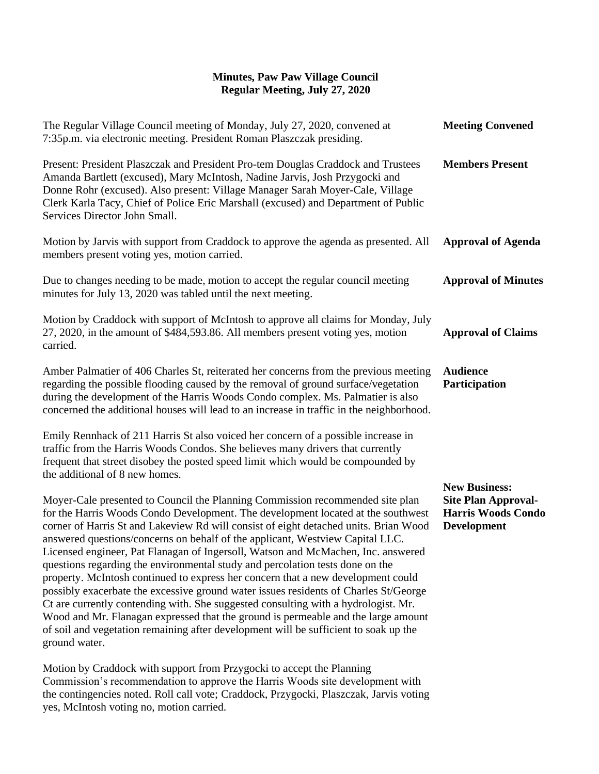## **Minutes, Paw Paw Village Council Regular Meeting, July 27, 2020**

| The Regular Village Council meeting of Monday, July 27, 2020, convened at<br>7:35p.m. via electronic meeting. President Roman Plaszczak presiding.                                                                                                                                                                                                                                                                                                                                                                                                                                                                                                                                                                                                                                                                                                                                                                                                                              | <b>Meeting Convened</b>                                                                               |
|---------------------------------------------------------------------------------------------------------------------------------------------------------------------------------------------------------------------------------------------------------------------------------------------------------------------------------------------------------------------------------------------------------------------------------------------------------------------------------------------------------------------------------------------------------------------------------------------------------------------------------------------------------------------------------------------------------------------------------------------------------------------------------------------------------------------------------------------------------------------------------------------------------------------------------------------------------------------------------|-------------------------------------------------------------------------------------------------------|
| Present: President Plaszczak and President Pro-tem Douglas Craddock and Trustees<br>Amanda Bartlett (excused), Mary McIntosh, Nadine Jarvis, Josh Przygocki and<br>Donne Rohr (excused). Also present: Village Manager Sarah Moyer-Cale, Village<br>Clerk Karla Tacy, Chief of Police Eric Marshall (excused) and Department of Public<br>Services Director John Small.                                                                                                                                                                                                                                                                                                                                                                                                                                                                                                                                                                                                         | <b>Members Present</b>                                                                                |
| Motion by Jarvis with support from Craddock to approve the agenda as presented. All<br>members present voting yes, motion carried.                                                                                                                                                                                                                                                                                                                                                                                                                                                                                                                                                                                                                                                                                                                                                                                                                                              | <b>Approval of Agenda</b>                                                                             |
| Due to changes needing to be made, motion to accept the regular council meeting<br>minutes for July 13, 2020 was tabled until the next meeting.                                                                                                                                                                                                                                                                                                                                                                                                                                                                                                                                                                                                                                                                                                                                                                                                                                 | <b>Approval of Minutes</b>                                                                            |
| Motion by Craddock with support of McIntosh to approve all claims for Monday, July<br>27, 2020, in the amount of \$484,593.86. All members present voting yes, motion<br>carried.                                                                                                                                                                                                                                                                                                                                                                                                                                                                                                                                                                                                                                                                                                                                                                                               | <b>Approval of Claims</b>                                                                             |
| Amber Palmatier of 406 Charles St, reiterated her concerns from the previous meeting<br>regarding the possible flooding caused by the removal of ground surface/vegetation<br>during the development of the Harris Woods Condo complex. Ms. Palmatier is also<br>concerned the additional houses will lead to an increase in traffic in the neighborhood.                                                                                                                                                                                                                                                                                                                                                                                                                                                                                                                                                                                                                       | <b>Audience</b><br>Participation                                                                      |
| Emily Rennhack of 211 Harris St also voiced her concern of a possible increase in<br>traffic from the Harris Woods Condos. She believes many drivers that currently<br>frequent that street disobey the posted speed limit which would be compounded by<br>the additional of 8 new homes.                                                                                                                                                                                                                                                                                                                                                                                                                                                                                                                                                                                                                                                                                       |                                                                                                       |
| Moyer-Cale presented to Council the Planning Commission recommended site plan<br>for the Harris Woods Condo Development. The development located at the southwest<br>corner of Harris St and Lakeview Rd will consist of eight detached units. Brian Wood<br>answered questions/concerns on behalf of the applicant, Westview Capital LLC.<br>Licensed engineer, Pat Flanagan of Ingersoll, Watson and McMachen, Inc. answered<br>questions regarding the environmental study and percolation tests done on the<br>property. McIntosh continued to express her concern that a new development could<br>possibly exacerbate the excessive ground water issues residents of Charles St/George<br>Ct are currently contending with. She suggested consulting with a hydrologist. Mr.<br>Wood and Mr. Flanagan expressed that the ground is permeable and the large amount<br>of soil and vegetation remaining after development will be sufficient to soak up the<br>ground water. | <b>New Business:</b><br><b>Site Plan Approval-</b><br><b>Harris Woods Condo</b><br><b>Development</b> |
| Motion by Craddock with support from Przygocki to accept the Planning                                                                                                                                                                                                                                                                                                                                                                                                                                                                                                                                                                                                                                                                                                                                                                                                                                                                                                           |                                                                                                       |

Commission's recommendation to approve the Harris Woods site development with the contingencies noted. Roll call vote; Craddock, Przygocki, Plaszczak, Jarvis voting yes, McIntosh voting no, motion carried.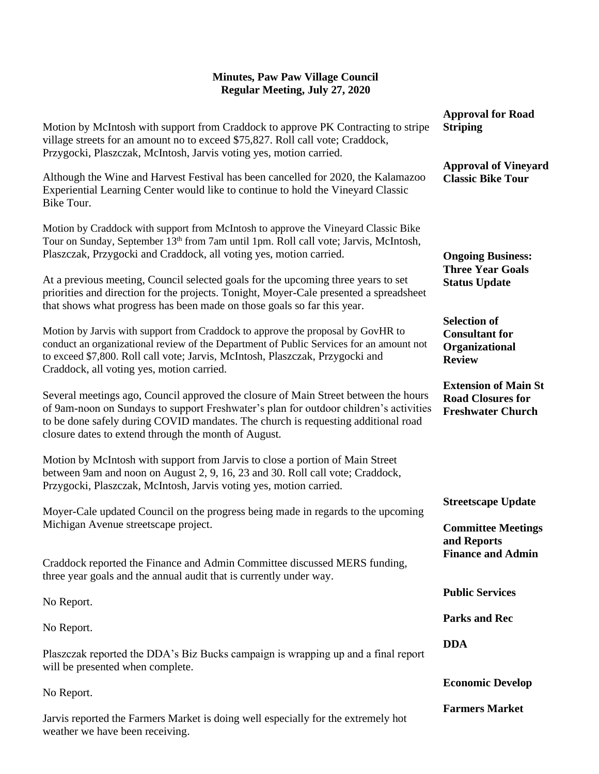## **Minutes, Paw Paw Village Council Regular Meeting, July 27, 2020**

|                                                                                                                                                                                                                                                                                                                                                                                                                                                                                                            | <b>Approval for Road</b>                                                            |
|------------------------------------------------------------------------------------------------------------------------------------------------------------------------------------------------------------------------------------------------------------------------------------------------------------------------------------------------------------------------------------------------------------------------------------------------------------------------------------------------------------|-------------------------------------------------------------------------------------|
| Motion by McIntosh with support from Craddock to approve PK Contracting to stripe<br>village streets for an amount no to exceed \$75,827. Roll call vote; Craddock,<br>Przygocki, Plaszczak, McIntosh, Jarvis voting yes, motion carried.                                                                                                                                                                                                                                                                  | <b>Striping</b>                                                                     |
| Although the Wine and Harvest Festival has been cancelled for 2020, the Kalamazoo<br>Experiential Learning Center would like to continue to hold the Vineyard Classic<br>Bike Tour.                                                                                                                                                                                                                                                                                                                        | <b>Approval of Vineyard</b><br><b>Classic Bike Tour</b>                             |
| Motion by Craddock with support from McIntosh to approve the Vineyard Classic Bike<br>Tour on Sunday, September 13th from 7am until 1pm. Roll call vote; Jarvis, McIntosh,<br>Plaszczak, Przygocki and Craddock, all voting yes, motion carried.<br>At a previous meeting, Council selected goals for the upcoming three years to set<br>priorities and direction for the projects. Tonight, Moyer-Cale presented a spreadsheet<br>that shows what progress has been made on those goals so far this year. | <b>Ongoing Business:</b><br><b>Three Year Goals</b><br><b>Status Update</b>         |
| Motion by Jarvis with support from Craddock to approve the proposal by GovHR to<br>conduct an organizational review of the Department of Public Services for an amount not<br>to exceed \$7,800. Roll call vote; Jarvis, McIntosh, Plaszczak, Przygocki and<br>Craddock, all voting yes, motion carried.                                                                                                                                                                                                   | <b>Selection of</b><br><b>Consultant for</b><br>Organizational<br><b>Review</b>     |
| Several meetings ago, Council approved the closure of Main Street between the hours<br>of 9am-noon on Sundays to support Freshwater's plan for outdoor children's activities<br>to be done safely during COVID mandates. The church is requesting additional road<br>closure dates to extend through the month of August.                                                                                                                                                                                  | <b>Extension of Main St</b><br><b>Road Closures for</b><br><b>Freshwater Church</b> |
| Motion by McIntosh with support from Jarvis to close a portion of Main Street<br>between 9am and noon on August 2, 9, 16, 23 and 30. Roll call vote; Craddock,<br>Przygocki, Plaszczak, McIntosh, Jarvis voting yes, motion carried.                                                                                                                                                                                                                                                                       |                                                                                     |
| Moyer-Cale updated Council on the progress being made in regards to the upcoming<br>Michigan Avenue streetscape project.                                                                                                                                                                                                                                                                                                                                                                                   | <b>Streetscape Update</b>                                                           |
|                                                                                                                                                                                                                                                                                                                                                                                                                                                                                                            | <b>Committee Meetings</b><br>and Reports                                            |
| Craddock reported the Finance and Admin Committee discussed MERS funding,<br>three year goals and the annual audit that is currently under way.                                                                                                                                                                                                                                                                                                                                                            | <b>Finance and Admin</b>                                                            |
| No Report.                                                                                                                                                                                                                                                                                                                                                                                                                                                                                                 | <b>Public Services</b>                                                              |
| No Report.                                                                                                                                                                                                                                                                                                                                                                                                                                                                                                 | <b>Parks and Rec</b>                                                                |
| Plaszczak reported the DDA's Biz Bucks campaign is wrapping up and a final report<br>will be presented when complete.                                                                                                                                                                                                                                                                                                                                                                                      | <b>DDA</b>                                                                          |
| No Report.                                                                                                                                                                                                                                                                                                                                                                                                                                                                                                 | <b>Economic Develop</b>                                                             |
| Jarvis reported the Farmers Market is doing well especially for the extremely hot<br>weather we have been receiving.                                                                                                                                                                                                                                                                                                                                                                                       | <b>Farmers Market</b>                                                               |